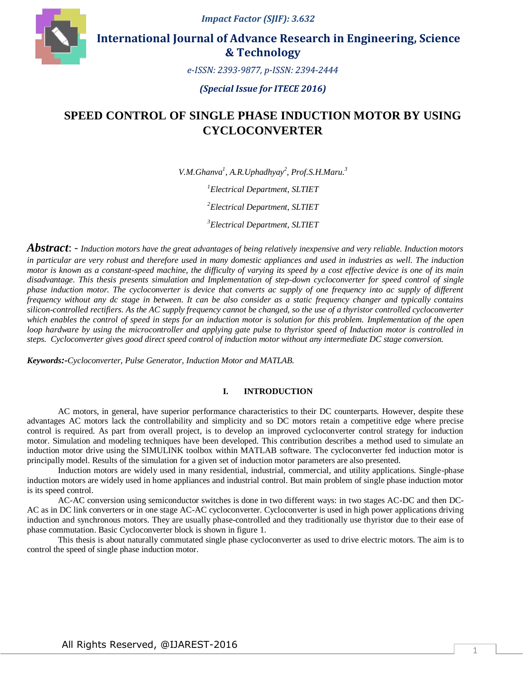*Impact Factor (SJIF): 3.632*



 **International Journal of Advance Research in Engineering, Science & Technology** 

*e-ISSN: 2393-9877, p-ISSN: 2394-2444*

*(Special Issue for ITECE 2016)*

# **SPEED CONTROL OF SINGLE PHASE INDUCTION MOTOR BY USING CYCLOCONVERTER**

*V.M.Ghanva<sup>1</sup> , A.R.Uphadhyay<sup>2</sup> , Prof.S.H.Maru.<sup>3</sup>*

*<sup>1</sup>Electrical Department, SLTIET*

*<sup>2</sup>Electrical Department, SLTIET*

*<sup>3</sup>Electrical Department, SLTIET*

*Abstract*: - *Induction motors have the great advantages of being relatively inexpensive and very reliable. Induction motors in particular are very robust and therefore used in many domestic appliances and used in industries as well. The induction motor is known as a constant-speed machine, the difficulty of varying its speed by a cost effective device is one of its main disadvantage. This thesis presents simulation and Implementation of step-down cycloconverter for speed control of single phase induction motor. The cycloconverter is device that converts ac supply of one frequency into ac supply of different frequency without any dc stage in between. It can be also consider as a static frequency changer and typically contains silicon-controlled rectifiers. As the AC supply frequency cannot be changed, so the use of a thyristor controlled cycloconverter which enables the control of speed in steps for an induction motor is solution for this problem. Implementation of the open loop hardware by using the microcontroller and applying gate pulse to thyristor speed of Induction motor is controlled in steps. Cycloconverter gives good direct speed control of induction motor without any intermediate DC stage conversion.*

*Keywords:-Cycloconverter, Pulse Generator, Induction Motor and MATLAB.*

#### **I. INTRODUCTION**

AC motors, in general, have superior performance characteristics to their DC counterparts. However, despite these advantages AC motors lack the controllability and simplicity and so DC motors retain a competitive edge where precise control is required. As part from overall project, is to develop an improved cycloconverter control strategy for induction motor. Simulation and modeling techniques have been developed. This contribution describes a method used to simulate an induction motor drive using the SIMULINK toolbox within MATLAB software. The cycloconverter fed induction motor is principally model. Results of the simulation for a given set of induction motor parameters are also presented.

Induction motors are widely used in many residential, industrial, commercial, and utility applications. Single-phase induction motors are widely used in home appliances and industrial control. But main problem of single phase induction motor is its speed control.

AC-AC conversion using semiconductor switches is done in two different ways: in two stages AC-DC and then DC-AC as in DC link converters or in one stage AC-AC cycloconverter. Cycloconverter is used in high power applications driving induction and synchronous motors. They are usually phase-controlled and they traditionally use thyristor due to their ease of phase commutation. Basic Cycloconverter block is shown in figure 1.

This thesis is about naturally commutated single phase cycloconverter as used to drive electric motors. The aim is to control the speed of single phase induction motor.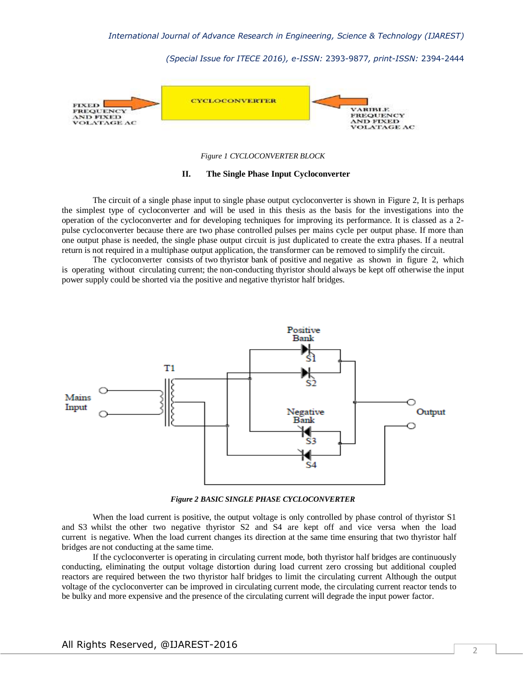

*Figure 1 CYCLOCONVERTER BLOCK*

#### **II. The Single Phase Input Cycloconverter**

The circuit of a single phase input to single phase output cycloconverter is shown in Figure 2, It is perhaps the simplest type of cycloconverter and will be used in this thesis as the basis for the investigations into the operation of the cycloconverter and for developing techniques for improving its performance. It is classed as a 2 pulse cycloconverter because there are two phase controlled pulses per mains cycle per output phase. If more than one output phase is needed, the single phase output circuit is just duplicated to create the extra phases. If a neutral return is not required in a multiphase output application, the transformer can be removed to simplify the circuit.

The cycloconverter consists of two thyristor bank of positive and negative as shown in figure 2, which is operating without circulating current; the non-conducting thyristor should always be kept off otherwise the input power supply could be shorted via the positive and negative thyristor half bridges.



*Figure 2 BASIC SINGLE PHASE CYCLOCONVERTER*

When the load current is positive, the output voltage is only controlled by phase control of thyristor S1 and S3 whilst the other two negative thyristor S2 and S4 are kept off and vice versa when the load current is negative. When the load current changes its direction at the same time ensuring that two thyristor half bridges are not conducting at the same time.

If the cycloconverter is operating in circulating current mode, both thyristor half bridges are continuously conducting, eliminating the output voltage distortion during load current zero crossing but additional coupled reactors are required between the two thyristor half bridges to limit the circulating current Although the output voltage of the cycloconverter can be improved in circulating current mode, the circulating current reactor tends to be bulky and more expensive and the presence of the circulating current will degrade the input power factor.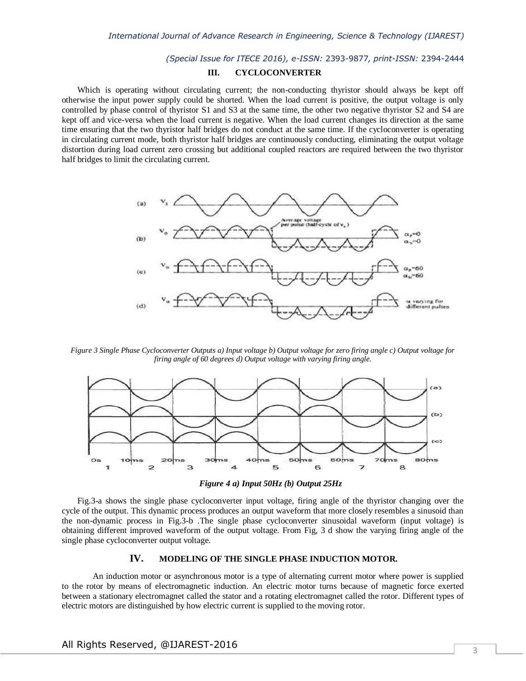#### **III. CYCLOCONVERTER**

Which is operating without circulating current; the non-conducting thyristor should always be kept off otherwise the input power supply could be shorted. When the load current is positive, the output voltage is only controlled by phase control of thyristor S1 and S3 at the same time, the other two negative thyristor S2 and S4 are kept off and vice-versa when the load current is negative. When the load current changes its direction at the same time ensuring that the two thyristor half bridges do not conduct at the same time. If the cycloconverter is operating in circulating current mode, both thyristor half bridges are continuously conducting, eliminating the output voltage distortion during load current zero crossing but additional coupled reactors are required between the two thyristor half bridges to limit the circulating current.



*Figure 3 Single Phase Cycloconverter Outputs a) Input voltage b) Output voltage for zero firing angle c) Output voltage for firing angle of 60 degrees d) Output voltage with varying firing angle.*



*Figure 4 a) Input 50Hz (b) Output 25Hz*

Fig.3-a shows the single phase cycloconverter input voltage, firing angle of the thyristor changing over the cycle of the output. This dynamic process produces an output waveform that more closely resembles a sinusoid than the non-dynamic process in Fig.3-b .The single phase cycloconverter sinusoidal waveform (input voltage) is obtaining different improved waveform of the output voltage. From Fig, 3 d show the varying firing angle of the single phase cycloconverter output voltage.

# **IV. MODELING OF THE SINGLE PHASE INDUCTION MOTOR.**

An induction motor or asynchronous motor is a type of alternating current motor where power is supplied to the rotor by means of electromagnetic induction. An [electric motor](http://en.wikipedia.org/wiki/Electric_motor) turns because of magnetic force exerted between a stationary [electromagnet](http://en.wikipedia.org/wiki/Electromagnet) called the [stator](http://en.wikipedia.org/wiki/Stator) and a rotating electromagnet called th[e rotor.](http://en.wikipedia.org/wiki/Rotor_(electric)) Different types of electric motors are distinguished by how electric current is supplied to the moving rotor.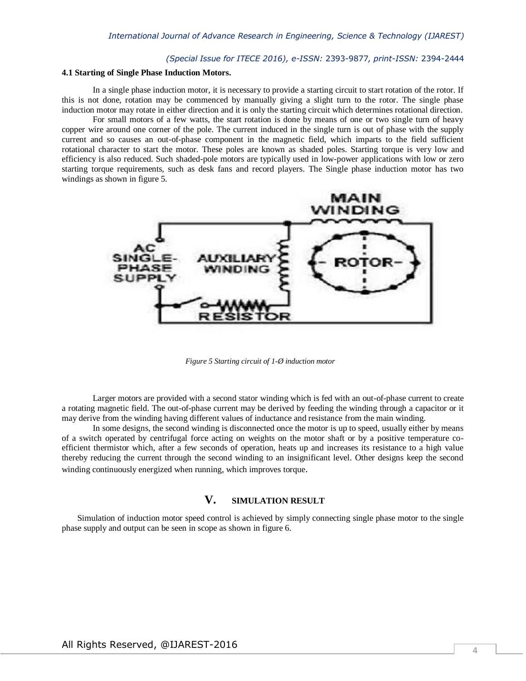## **4.1 Starting of Single Phase Induction Motors.**

In a single phase induction motor, it is necessary to provide a starting circuit to start rotation of the rotor. If this is not done, rotation may be commenced by manually giving a slight turn to the rotor. The single phase induction motor may rotate in either direction and it is only the starting circuit which determines rotational direction.

For small motors of a few watts, the start rotation is done by means of one or two single turn of heavy copper wire around one corner of the pole. The current induced in the single turn is out of phase with the supply current and so causes an out-of-phase component in the magnetic field, which imparts to the field sufficient rotational character to start the motor. These poles are known as shaded poles. Starting torque is very low and efficiency is also reduced. Such [shaded-pole motors](http://en.wikipedia.org/wiki/Shaded-pole_motor) are typically used in low-power applications with low or zero starting torque requirements, such as desk fans and record players. The Single phase induction motor has two windings as shown in figure 5.



*Figure 5 Starting circuit of 1-Ø induction motor*

Larger motors are provided with a second stator winding which is fed with an out-of-phase current to create a rotating magnetic field. The out-of-phase current may be derived by feeding the winding through a capacitor or it may derive from the winding having different values of inductance and resistance from the main winding.

In some designs, the second winding is disconnected once the motor is up to speed, usually either by means of a switch operated by centrifugal force acting on weights on the motor shaft or by a positive temperature coefficient thermistor which, after a few seconds of operation, heats up and increases its resistance to a high value thereby reducing the current through the second winding to an insignificant level. Other designs keep the second winding continuously energized when running, which improves torque.

# **V. SIMULATION RESULT**

Simulation of induction motor speed control is achieved by simply connecting single phase motor to the single phase supply and output can be seen in scope as shown in figure 6.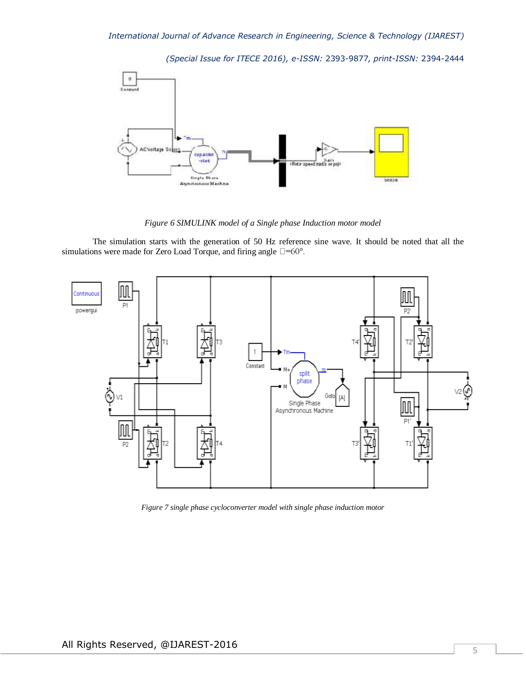

*Figure 6 SIMULINK model of a Single phase Induction motor model*

The simulation starts with the generation of 50 Hz reference sine wave. It should be noted that all the simulations were made for Zero Load Torque, and firing angle  $\square$ =60°.



*Figure 7 single phase cycloconverter model with single phase induction motor*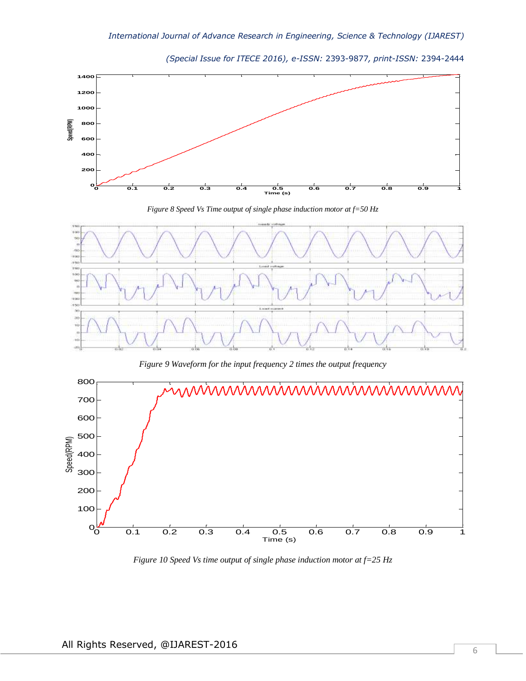**0.1 0.2 0.3 0.4 0.5 0.6 0.7 0.8 0.9 1 Time (s) Speed(RPM)**



*Figure 8 Speed Vs Time output of single phase induction motor at f=50 Hz*



*Figure 9 Waveform for the input frequency 2 times the output frequency*



*Figure 10 Speed Vs time output of single phase induction motor at f=25 Hz*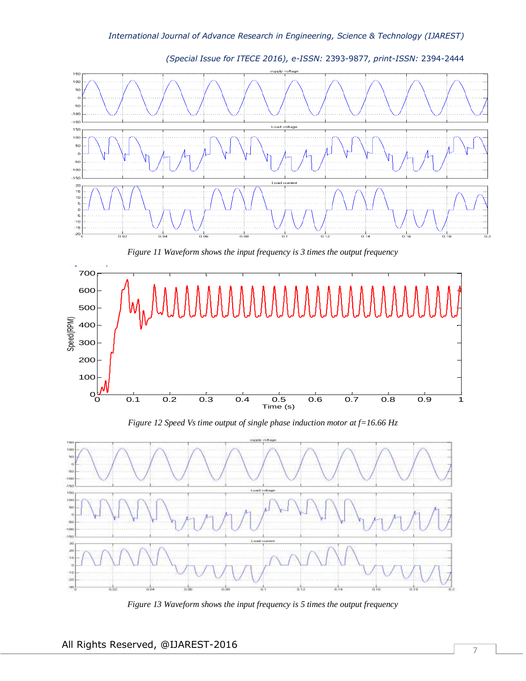

*(Special Issue for ITECE 2016), e-ISSN:* 2393-9877*, print-ISSN:* 2394-2444

*Figure 11 Waveform shows the input frequency is 3 times the output frequency*







*Figure 13 Waveform shows the input frequency is 5 times the output frequency*